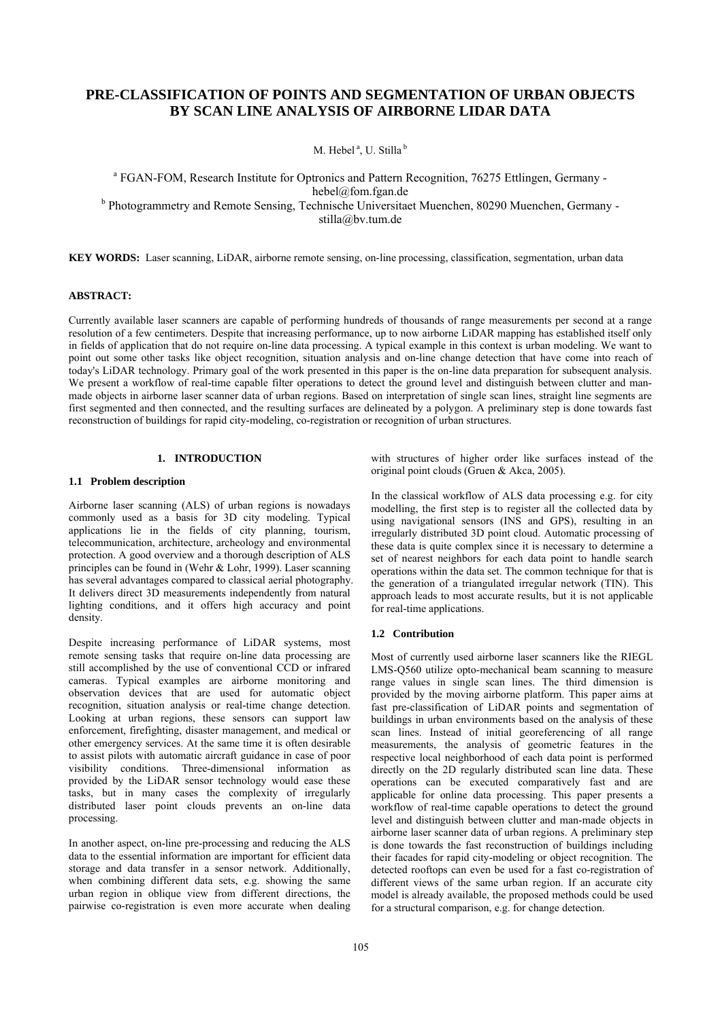# **PRE-CLASSIFICATION OF POINTS AND SEGMENTATION OF URBAN OBJECTS BY SCAN LINE ANALYSIS OF AIRBORNE LIDAR DATA**

M. Hebel<sup>a</sup>, U. Stilla<sup>b</sup>

<sup>a</sup> FGAN-FOM, Research Institute for Optronics and Pattern Recognition, 76275 Ettlingen, Germany hebel@fom.fgan.de <sup>b</sup> Photogrammetry and Remote Sensing, Technische Universitaet Muenchen, 80290 Muenchen, Germany stilla@bv.tum.de

**KEY WORDS:** Laser scanning, LiDAR, airborne remote sensing, on-line processing, classification, segmentation, urban data

# **ABSTRACT:**

Currently available laser scanners are capable of performing hundreds of thousands of range measurements per second at a range resolution of a few centimeters. Despite that increasing performance, up to now airborne LiDAR mapping has established itself only in fields of application that do not require on-line data processing. A typical example in this context is urban modeling. We want to point out some other tasks like object recognition, situation analysis and on-line change detection that have come into reach of today's LiDAR technology. Primary goal of the work presented in this paper is the on-line data preparation for subsequent analysis. We present a workflow of real-time capable filter operations to detect the ground level and distinguish between clutter and manmade objects in airborne laser scanner data of urban regions. Based on interpretation of single scan lines, straight line segments are first segmented and then connected, and the resulting surfaces are delineated by a polygon. A preliminary step is done towards fast reconstruction of buildings for rapid city-modeling, co-registration or recognition of urban structures.

# **1. INTRODUCTION**

# **1.1 Problem description**

Airborne laser scanning (ALS) of urban regions is nowadays commonly used as a basis for 3D city modeling. Typical applications lie in the fields of city planning, tourism, telecommunication, architecture, archeology and environmental protection. A good overview and a thorough description of ALS principles can be found in (Wehr & Lohr, 1999). Laser scanning has several advantages compared to classical aerial photography. It delivers direct 3D measurements independently from natural lighting conditions, and it offers high accuracy and point density.

Despite increasing performance of LiDAR systems, most remote sensing tasks that require on-line data processing are still accomplished by the use of conventional CCD or infrared cameras. Typical examples are airborne monitoring and observation devices that are used for automatic object recognition, situation analysis or real-time change detection. Looking at urban regions, these sensors can support law enforcement, firefighting, disaster management, and medical or other emergency services. At the same time it is often desirable to assist pilots with automatic aircraft guidance in case of poor visibility conditions. Three-dimensional information as provided by the LiDAR sensor technology would ease these tasks, but in many cases the complexity of irregularly distributed laser point clouds prevents an on-line data processing.

In another aspect, on-line pre-processing and reducing the ALS data to the essential information are important for efficient data storage and data transfer in a sensor network. Additionally, when combining different data sets, e.g. showing the same urban region in oblique view from different directions, the pairwise co-registration is even more accurate when dealing with structures of higher order like surfaces instead of the original point clouds (Gruen & Akca, 2005).

In the classical workflow of ALS data processing e.g. for city modelling, the first step is to register all the collected data by using navigational sensors (INS and GPS), resulting in an irregularly distributed 3D point cloud. Automatic processing of these data is quite complex since it is necessary to determine a set of nearest neighbors for each data point to handle search operations within the data set. The common technique for that is the generation of a triangulated irregular network (TIN). This approach leads to most accurate results, but it is not applicable for real-time applications.

# **1.2 Contribution**

Most of currently used airborne laser scanners like the RIEGL LMS-Q560 utilize opto-mechanical beam scanning to measure range values in single scan lines. The third dimension is provided by the moving airborne platform. This paper aims at fast pre-classification of LiDAR points and segmentation of buildings in urban environments based on the analysis of these scan lines. Instead of initial georeferencing of all range measurements, the analysis of geometric features in the respective local neighborhood of each data point is performed directly on the 2D regularly distributed scan line data. These operations can be executed comparatively fast and are applicable for online data processing. This paper presents a workflow of real-time capable operations to detect the ground level and distinguish between clutter and man-made objects in airborne laser scanner data of urban regions. A preliminary step is done towards the fast reconstruction of buildings including their facades for rapid city-modeling or object recognition. The detected rooftops can even be used for a fast co-registration of different views of the same urban region. If an accurate city model is already available, the proposed methods could be used for a structural comparison, e.g. for change detection.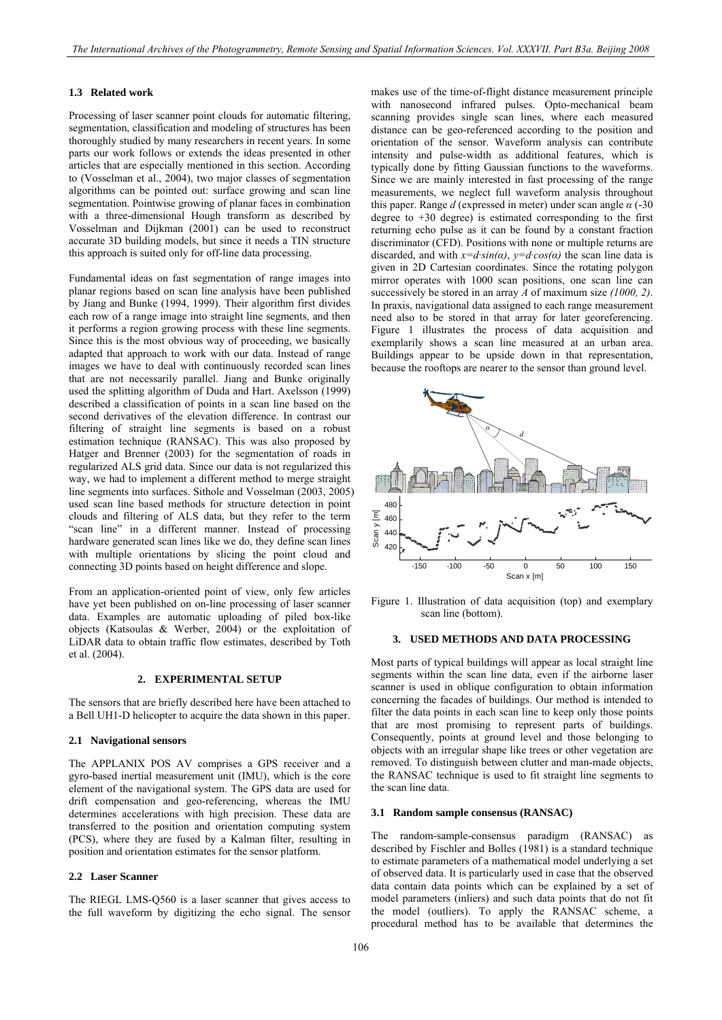#### **1.3 Related work**

Processing of laser scanner point clouds for automatic filtering, segmentation, classification and modeling of structures has been thoroughly studied by many researchers in recent years. In some parts our work follows or extends the ideas presented in other articles that are especially mentioned in this section. According to (Vosselman et al., 2004), two major classes of segmentation algorithms can be pointed out: surface growing and scan line segmentation. Pointwise growing of planar faces in combination with a three-dimensional Hough transform as described by Vosselman and Dijkman (2001) can be used to reconstruct accurate 3D building models, but since it needs a TIN structure this approach is suited only for off-line data processing.

Fundamental ideas on fast segmentation of range images into planar regions based on scan line analysis have been published by Jiang and Bunke (1994, 1999). Their algorithm first divides each row of a range image into straight line segments, and then it performs a region growing process with these line segments. Since this is the most obvious way of proceeding, we basically adapted that approach to work with our data. Instead of range images we have to deal with continuously recorded scan lines that are not necessarily parallel. Jiang and Bunke originally used the splitting algorithm of Duda and Hart. Axelsson (1999) described a classification of points in a scan line based on the second derivatives of the elevation difference. In contrast our filtering of straight line segments is based on a robust estimation technique (RANSAC). This was also proposed by Hatger and Brenner (2003) for the segmentation of roads in regularized ALS grid data. Since our data is not regularized this way, we had to implement a different method to merge straight line segments into surfaces. Sithole and Vosselman (2003, 2005) used scan line based methods for structure detection in point clouds and filtering of ALS data, but they refer to the term "scan line" in a different manner. Instead of processing hardware generated scan lines like we do, they define scan lines with multiple orientations by slicing the point cloud and connecting 3D points based on height difference and slope.

From an application-oriented point of view, only few articles have yet been published on on-line processing of laser scanner data. Examples are automatic uploading of piled box-like objects (Katsoulas & Werber, 2004) or the exploitation of LiDAR data to obtain traffic flow estimates, described by Toth et al. (2004).

#### **2. EXPERIMENTAL SETUP**

The sensors that are briefly described here have been attached to a Bell UH1-D helicopter to acquire the data shown in this paper.

#### **2.1 Navigational sensors**

The APPLANIX POS AV comprises a GPS receiver and a gyro-based inertial measurement unit (IMU), which is the core element of the navigational system. The GPS data are used for drift compensation and geo-referencing, whereas the IMU determines accelerations with high precision. These data are transferred to the position and orientation computing system (PCS), where they are fused by a Kalman filter, resulting in position and orientation estimates for the sensor platform.

#### **2.2 Laser Scanner**

The RIEGL LMS-Q560 is a laser scanner that gives access to the full waveform by digitizing the echo signal. The sensor makes use of the time-of-flight distance measurement principle with nanosecond infrared pulses. Opto-mechanical beam scanning provides single scan lines, where each measured distance can be geo-referenced according to the position and orientation of the sensor. Waveform analysis can contribute intensity and pulse-width as additional features, which is typically done by fitting Gaussian functions to the waveforms. Since we are mainly interested in fast processing of the range measurements, we neglect full waveform analysis throughout this paper. Range *d* (expressed in meter) under scan angle *α* (-30 degree to  $+30$  degree) is estimated corresponding to the first returning echo pulse as it can be found by a constant fraction discriminator (CFD). Positions with none or multiple returns are discarded, and with  $x = d \sin(\alpha)$ ,  $y = d \cos(\alpha)$  the scan line data is given in 2D Cartesian coordinates. Since the rotating polygon mirror operates with 1000 scan positions, one scan line can successively be stored in an array *A* of maximum size *(1000, 2)*. In praxis, navigational data assigned to each range measurement need also to be stored in that array for later georeferencing. Figure 1 illustrates the process of data acquisition and exemplarily shows a scan line measured at an urban area. Buildings appear to be upside down in that representation, because the rooftops are nearer to the sensor than ground level.



Figure 1. Illustration of data acquisition (top) and exemplary scan line (bottom).

#### **3. USED METHODS AND DATA PROCESSING**

Most parts of typical buildings will appear as local straight line segments within the scan line data, even if the airborne laser scanner is used in oblique configuration to obtain information concerning the facades of buildings. Our method is intended to filter the data points in each scan line to keep only those points that are most promising to represent parts of buildings. Consequently, points at ground level and those belonging to objects with an irregular shape like trees or other vegetation are removed. To distinguish between clutter and man-made objects, the RANSAC technique is used to fit straight line segments to the scan line data.

# **3.1 Random sample consensus (RANSAC)**

The random-sample-consensus paradigm (RANSAC) as described by Fischler and Bolles (1981) is a standard technique to estimate parameters of a mathematical model underlying a set of observed data. It is particularly used in case that the observed data contain data points which can be explained by a set of model parameters (inliers) and such data points that do not fit the model (outliers). To apply the RANSAC scheme, a procedural method has to be available that determines the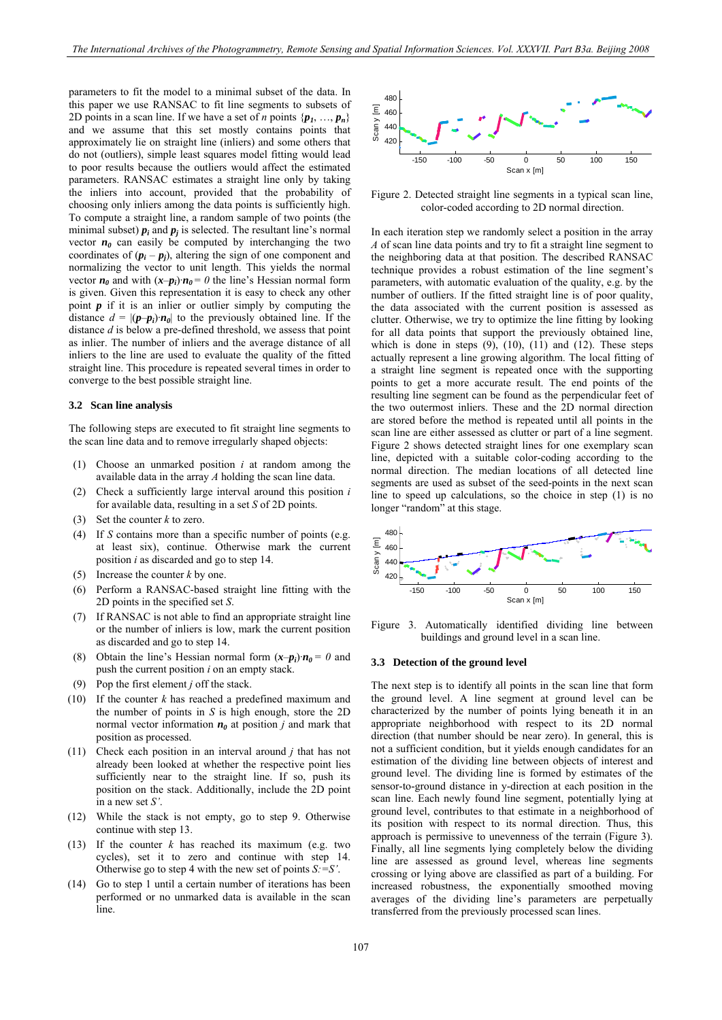parameters to fit the model to a minimal subset of the data. In this paper we use RANSAC to fit line segments to subsets of 2D points in a scan line. If we have a set of *n* points  $\{p_1, ..., p_n\}$ and we assume that this set mostly contains points that approximately lie on straight line (inliers) and some others that do not (outliers), simple least squares model fitting would lead to poor results because the outliers would affect the estimated parameters. RANSAC estimates a straight line only by taking the inliers into account, provided that the probability of choosing only inliers among the data points is sufficiently high. To compute a straight line, a random sample of two points (the minimal subset)  $p_i$  and  $p_j$  is selected. The resultant line's normal vector  $n_0$  can easily be computed by interchanging the two coordinates of  $(p_i - p_j)$ , altering the sign of one component and normalizing the vector to unit length. This yields the normal vector  $n_0$  and with  $(x-p_i) \cdot n_0 = 0$  the line's Hessian normal form is given. Given this representation it is easy to check any other point  $p$  if it is an inlier or outlier simply by computing the distance  $d = |(\mathbf{p}-\mathbf{p}_i)\cdot\mathbf{n}_0|$  to the previously obtained line. If the distance *d* is below a pre-defined threshold, we assess that point as inlier. The number of inliers and the average distance of all inliers to the line are used to evaluate the quality of the fitted straight line. This procedure is repeated several times in order to converge to the best possible straight line.

# **3.2 Scan line analysis**

The following steps are executed to fit straight line segments to the scan line data and to remove irregularly shaped objects:

- (1) Choose an unmarked position *i* at random among the available data in the array *A* holding the scan line data.
- (2) Check a sufficiently large interval around this position *i* for available data, resulting in a set *S* of 2D points.
- (3) Set the counter *k* to zero.
- (4) If *S* contains more than a specific number of points (e.g. at least six), continue. Otherwise mark the current position *i* as discarded and go to step 14.
- (5) Increase the counter *k* by one.
- (6) Perform a RANSAC-based straight line fitting with the 2D points in the specified set *S*.
- (7) If RANSAC is not able to find an appropriate straight line or the number of inliers is low, mark the current position as discarded and go to step 14.
- (8) Obtain the line's Hessian normal form  $(x-p_i) \cdot n_0 = 0$  and push the current position *i* on an empty stack.
- (9) Pop the first element *j* off the stack.
- (10) If the counter *k* has reached a predefined maximum and the number of points in *S* is high enough, store the 2D normal vector information  $n_0$  at position *j* and mark that position as processed.
- (11) Check each position in an interval around *j* that has not already been looked at whether the respective point lies sufficiently near to the straight line. If so, push its position on the stack. Additionally, include the 2D point in a new set *S'*.
- (12) While the stack is not empty, go to step 9. Otherwise continue with step 13.
- (13) If the counter  $k$  has reached its maximum (e.g. two cycles), set it to zero and continue with step 14. Otherwise go to step 4 with the new set of points *S:=S'*.
- (14) Go to step 1 until a certain number of iterations has been performed or no unmarked data is available in the scan line.



Figure 2. Detected straight line segments in a typical scan line, color-coded according to 2D normal direction.

In each iteration step we randomly select a position in the array *A* of scan line data points and try to fit a straight line segment to the neighboring data at that position. The described RANSAC technique provides a robust estimation of the line segment's parameters, with automatic evaluation of the quality, e.g. by the number of outliers. If the fitted straight line is of poor quality, the data associated with the current position is assessed as clutter. Otherwise, we try to optimize the line fitting by looking for all data points that support the previously obtained line, which is done in steps  $(9)$ ,  $(10)$ ,  $(11)$  and  $(12)$ . These steps actually represent a line growing algorithm. The local fitting of a straight line segment is repeated once with the supporting points to get a more accurate result. The end points of the resulting line segment can be found as the perpendicular feet of the two outermost inliers. These and the 2D normal direction are stored before the method is repeated until all points in the scan line are either assessed as clutter or part of a line segment. Figure 2 shows detected straight lines for one exemplary scan line, depicted with a suitable color-coding according to the normal direction. The median locations of all detected line segments are used as subset of the seed-points in the next scan line to speed up calculations, so the choice in step (1) is no longer "random" at this stage.



Figure 3. Automatically identified dividing line between buildings and ground level in a scan line.

#### **3.3 Detection of the ground level**

The next step is to identify all points in the scan line that form the ground level. A line segment at ground level can be characterized by the number of points lying beneath it in an appropriate neighborhood with respect to its 2D normal direction (that number should be near zero). In general, this is not a sufficient condition, but it yields enough candidates for an estimation of the dividing line between objects of interest and ground level. The dividing line is formed by estimates of the sensor-to-ground distance in y-direction at each position in the scan line. Each newly found line segment, potentially lying at ground level, contributes to that estimate in a neighborhood of its position with respect to its normal direction. Thus, this approach is permissive to unevenness of the terrain (Figure 3). Finally, all line segments lying completely below the dividing line are assessed as ground level, whereas line segments crossing or lying above are classified as part of a building. For increased robustness, the exponentially smoothed moving averages of the dividing line's parameters are perpetually transferred from the previously processed scan lines.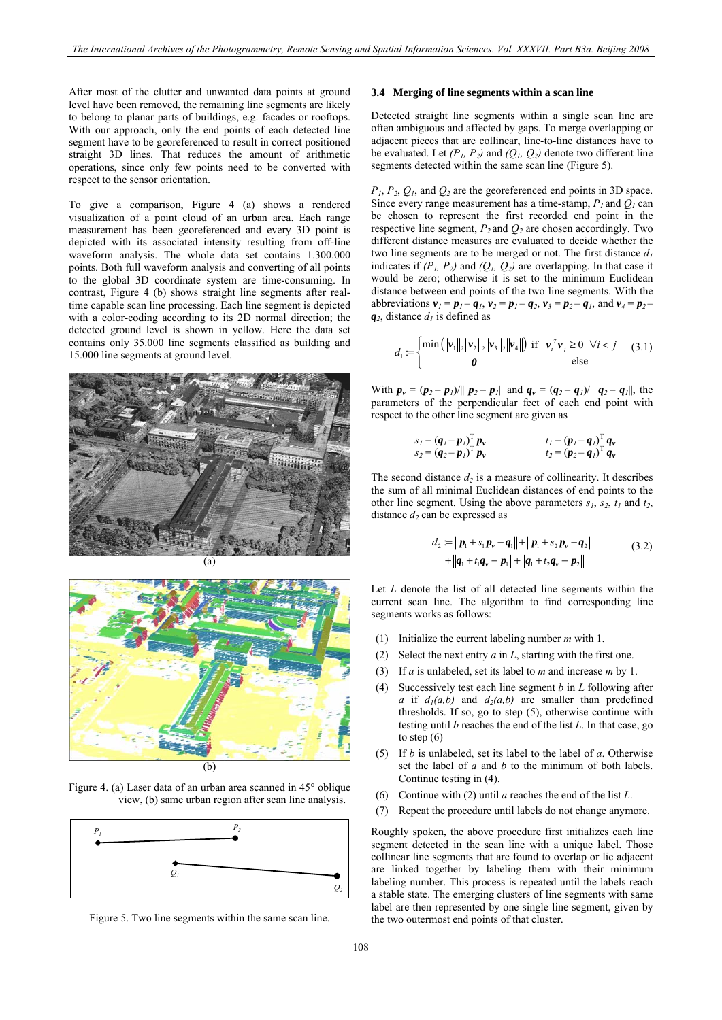<span id="page-3-0"></span>After most of the clutter and unwanted data points at ground level have been removed, the remaining line segments are likely to belong to planar parts of buildings, e.g. facades or rooftops. With our approach, only the end points of each detected line segment have to be georeferenced to result in correct positioned straight 3D lines. That reduces the amount of arithmetic operations, since only few points need to be converted with respect to the sensor orientation.

To give a comparison, Figure 4 (a) shows a rendered visualization of a point cloud of an urban area. Each range measurement has been georeferenced and every 3D point is depicted with its associated intensity resulting from off-line waveform analysis. The whole data set contains 1.300.000 points. Both full waveform analysis and converting of all points to the global 3D coordinate system are time-consuming. In contrast, Figure 4 (b) shows straight line segments after realtime capable scan line processing. Each line segment is depicted with a color-coding according to its 2D normal direction; the detected ground level is shown in yellow. Here the data set contains only 35.000 line segments classified as building and 15.000 line segments at ground level.





Figure 4. (a) Laser data of an urban area scanned in 45° oblique view, (b) same urban region after scan line analysis.



Figure 5. Two line segments within the same scan line.

# **3.4 Merging of line segments within a scan line**

Detected straight line segments within a single scan line are often ambiguous and affected by gaps. To merge overlapping or adjacent pieces that are collinear, line-to-line distances have to be evaluated. Let  $(P_1, P_2)$  and  $(Q_1, Q_2)$  denote two different line segments detected within the same scan line (Figure 5).

*P1*, *P2*, *Q1*, and *Q2* are the georeferenced end points in 3D space. Since every range measurement has a time-stamp,  $P_l$  and  $\overline{Q}_l$  can be chosen to represent the first recorded end point in the respective line segment,  $P_2$  and  $Q_2$  are chosen accordingly. Two different distance measures are evaluated to decide whether the two line segments are to be merged or not. The first distance  $d_1$ indicates if  $(P_1, P_2)$  and  $(Q_1, Q_2)$  are overlapping. In that case it would be zero; otherwise it is set to the minimum Euclidean distance between end points of the two line segments. With the abbreviations  $v_1 = p_1 - q_1$ ,  $v_2 = p_1 - q_2$ ,  $v_3 = p_2 - q_1$ , and  $v_4 = p_2 - q_2$  $q_2$ , distance  $d_1$  is defined as

$$
d_1 = \begin{cases} \min\left(\|\mathbf{v}_1\|, \|\mathbf{v}_2\|, \|\mathbf{v}_3\|, \|\mathbf{v}_4\|\right) & \text{if } \mathbf{v}_i^T \mathbf{v}_j \ge 0 \ \forall i < j \end{cases} \tag{3.1}
$$

With  $p_v = (p_2 - p_1)/||p_2 - p_1||$  and  $q_v = (q_2 - q_1)/||q_2 - q_1||$ , the parameters of the perpendicular feet of each end point with respect to the other line segment are given as

$$
sI = (qI - pI)T pv \ns2 = (q2 - pI)T pv \ntI = (pI - qI)T qv \nt2 = (p2 - qI)T qv
$$

The second distance  $d_2$  is a measure of collinearity. It describes the sum of all minimal Euclidean distances of end points to the other line segment. Using the above parameters  $s_1$ ,  $s_2$ ,  $t_1$  and  $t_2$ , distance  $d_2$  can be expressed as

$$
d_2 := ||p_1 + s_1 p_v - q_1|| + ||p_1 + s_2 p_v - q_2||
$$
  
+ 
$$
||q_1 + t_1 q_v - p_1|| + ||q_1 + t_2 q_v - p_2||
$$
 (3.2)

Let *L* denote the list of all detected line segments within the current scan line. The algorithm to find corresponding line segments works as follows:

- (1) Initialize the current labeling number *m* with 1.
- (2) Select the next entry *a* in *L*, starting with the first one.
- (3) If *a* is unlabeled, set its label to *m* and increase *m* by 1.
- (4) Successively test each line segment *b* in *L* following after *a* if  $d_1(a,b)$  and  $d_2(a,b)$  are smaller than predefined thresholds. If so, go to step (5), otherwise continue with testing until *b* reaches the end of the list *L*. In that case, go to step (6)
- (5) If *b* is unlabeled, set its label to the label of *a*. Otherwise set the label of *a* and *b* to the minimum of both labels. Continue testing in (4).
- (6) Continue with (2) until *a* reaches the end of the list *L*.
- (7) Repeat the procedure until labels do not change anymore.

Roughly spoken, the above procedure first initializes each line segment detected in the scan line with a unique label. Those collinear line segments that are found to overlap or lie adjacent are linked together by labeling them with their minimum labeling number. This process is repeated until the labels reach a stable state. The emerging clusters of line segments with same label are then represented by one single line segment, given by the two outermost end points of that cluster.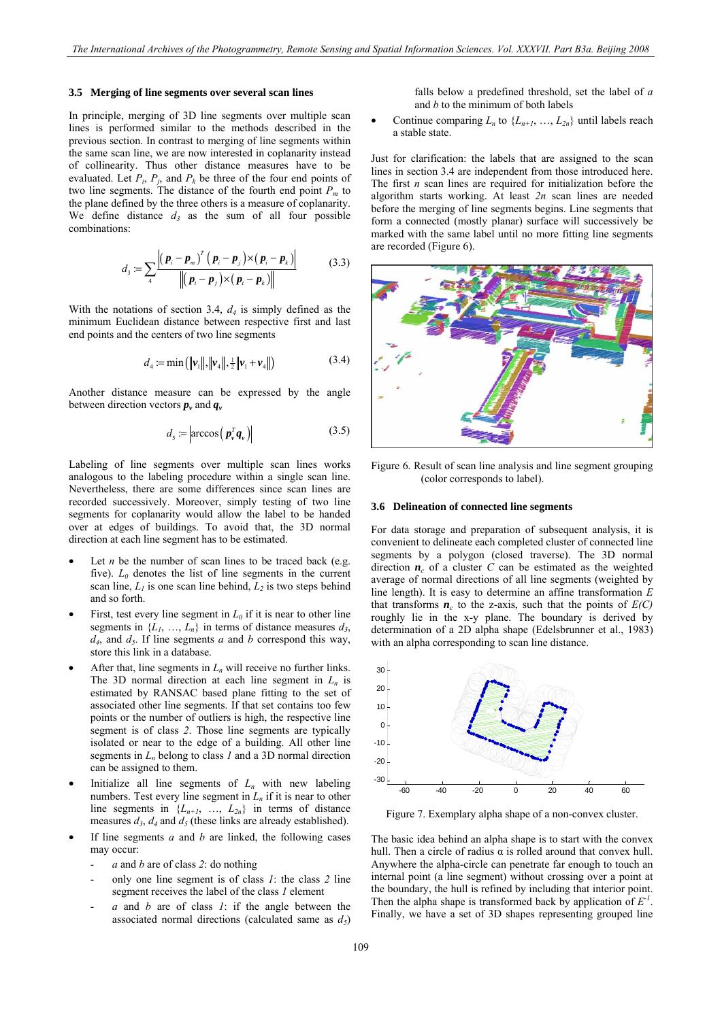#### <span id="page-4-0"></span>**3.5 Merging of line segments over several scan lines**

In principle, merging of 3D line segments over multiple scan lines is performed similar to the methods described in the previous section. In contrast to merging of line segments within the same scan line, we are now interested in coplanarity instead of collinearity. Thus other distance measures have to be evaluated. Let  $P_i$ ,  $P_j$ , and  $P_k$  be three of the four end points of two line segments. The distance of the fourth end point *Pm* to the plane defined by the three others is a measure of coplanarity. We define distance  $d_3$  as the sum of all four possible combinations:

$$
d_3 := \sum_{i} \frac{\left| \left( \boldsymbol{p}_i - \boldsymbol{p}_m \right)^T \left( \boldsymbol{p}_i - \boldsymbol{p}_j \right) \times \left( \boldsymbol{p}_i - \boldsymbol{p}_k \right) \right|}{\left\| \left( \boldsymbol{p}_i - \boldsymbol{p}_j \right) \times \left( \boldsymbol{p}_i - \boldsymbol{p}_k \right) \right\|}
$$
(3.3)

With the notations of section [3.4](#page-3-0), *d4* is simply defined as the minimum Euclidean distance between respective first and last end points and the centers of two line segments

$$
d_4 := \min\left(\|\mathbf{v}_1\|, \|\mathbf{v}_4\|, \frac{1}{2}\|\mathbf{v}_1 + \mathbf{v}_4\|\right) \tag{3.4}
$$

Another distance measure can be expressed by the angle between direction vectors  $p_v$  and  $q_v$ 

$$
d_{\mathsf{s}} \coloneqq \left| \arccos\left(\mathbf{p}_{\mathsf{v}}^T \mathbf{q}_{\mathsf{v}}\right) \right| \tag{3.5}
$$

Labeling of line segments over multiple scan lines works analogous to the labeling procedure within a single scan line. Nevertheless, there are some differences since scan lines are recorded successively. Moreover, simply testing of two line segments for coplanarity would allow the label to be handed over at edges of buildings. To avoid that, the 3D normal direction at each line segment has to be estimated.

- Let  $n$  be the number of scan lines to be traced back (e.g. five).  $L_0$  denotes the list of line segments in the current scan line,  $L_1$  is one scan line behind,  $L_2$  is two steps behind and so forth.
- First, test every line segment in  $L_0$  if it is near to other line segments in  $\{L_1, ..., L_n\}$  in terms of distance measures  $d_3$ ,  $d_4$ , and  $d_5$ . If line segments *a* and *b* correspond this way, store this link in a database.
- After that, line segments in  $L_n$  will receive no further links. The 3D normal direction at each line segment in  $L_n$  is estimated by RANSAC based plane fitting to the set of associated other line segments. If that set contains too few points or the number of outliers is high, the respective line segment is of class *2*. Those line segments are typically isolated or near to the edge of a building. All other line segments in  $L_n$  belong to class *1* and a 3D normal direction can be assigned to them.
- Initialize all line segments of  $L_n$  with new labeling numbers. Test every line segment in  $L_n$  if it is near to other line segments in  $\{L_{n+1}, \ldots, L_{2n}\}$  in terms of distance measures  $d_3$ ,  $d_4$  and  $d_5$  (these links are already established).
- If line segments  $a$  and  $b$  are linked, the following cases may occur:
	- *a* and *b* are of class *2*: do nothing
	- only one line segment is of class *1*: the class *2* line segment receives the label of the class *1* element
	- *a* and *b* are of class *1*: if the angle between the associated normal directions (calculated same as  $d_5$ )

falls below a predefined threshold, set the label of *a* and *b* to the minimum of both labels

Continue comparing  $L_n$  to  $\{L_{n+1}, ..., L_{2n}\}\$  until labels reach a stable state.

Just for clarification: the labels that are assigned to the scan lines in section [3.4](#page-3-0) are independent from those introduced here. The first *n* scan lines are required for initialization before the algorithm starts working. At least *2n* scan lines are needed before the merging of line segments begins. Line segments that form a connected (mostly planar) surface will successively be marked with the same label until no more fitting line segments are recorded (Figure 6).



Figure 6. Result of scan line analysis and line segment grouping (color corresponds to label).

#### **3.6 Delineation of connected line segments**

For data storage and preparation of subsequent analysis, it is convenient to delineate each completed cluster of connected line segments by a polygon (closed traverse). The 3D normal direction  $n_c$  of a cluster *C* can be estimated as the weighted average of normal directions of all line segments (weighted by line length). It is easy to determine an affine transformation *E* that transforms  $\boldsymbol{n}_c$  to the z-axis, such that the points of  $E(C)$ roughly lie in the x-y plane. The boundary is derived by determination of a 2D alpha shape (Edelsbrunner et al., 1983) with an alpha corresponding to scan line distance.



Figure 7. Exemplary alpha shape of a non-convex cluster.

The basic idea behind an alpha shape is to start with the convex hull. Then a circle of radius  $α$  is rolled around that convex hull. Anywhere the alpha-circle can penetrate far enough to touch an internal point (a line segment) without crossing over a point at the boundary, the hull is refined by including that interior point. Then the alpha shape is transformed back by application of  $E<sup>-1</sup>$ . Finally, we have a set of 3D shapes representing grouped line